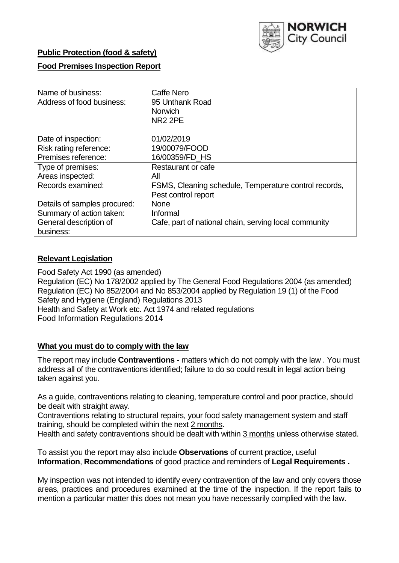

## **Public Protection (food & safety)**

## **Food Premises Inspection Report**

| Name of business:            | <b>Caffe Nero</b>                                     |
|------------------------------|-------------------------------------------------------|
| Address of food business:    | 95 Unthank Road                                       |
|                              | <b>Norwich</b>                                        |
|                              | <b>NR2 2PE</b>                                        |
| Date of inspection:          | 01/02/2019                                            |
| Risk rating reference:       | 19/00079/FOOD                                         |
| Premises reference:          | 16/00359/FD_HS                                        |
| Type of premises:            | Restaurant or cafe                                    |
| Areas inspected:             | All                                                   |
| Records examined:            | FSMS, Cleaning schedule, Temperature control records, |
|                              | Pest control report                                   |
| Details of samples procured: | <b>None</b>                                           |
| Summary of action taken:     | Informal                                              |
| General description of       | Cafe, part of national chain, serving local community |
| business:                    |                                                       |

### **Relevant Legislation**

Food Safety Act 1990 (as amended) Regulation (EC) No 178/2002 applied by The General Food Regulations 2004 (as amended) Regulation (EC) No 852/2004 and No 853/2004 applied by Regulation 19 (1) of the Food Safety and Hygiene (England) Regulations 2013 Health and Safety at Work etc. Act 1974 and related regulations Food Information Regulations 2014

#### **What you must do to comply with the law**

The report may include **Contraventions** - matters which do not comply with the law . You must address all of the contraventions identified; failure to do so could result in legal action being taken against you.

As a guide, contraventions relating to cleaning, temperature control and poor practice, should be dealt with straight away.

Contraventions relating to structural repairs, your food safety management system and staff training, should be completed within the next 2 months.

Health and safety contraventions should be dealt with within 3 months unless otherwise stated.

To assist you the report may also include **Observations** of current practice, useful **Information**, **Recommendations** of good practice and reminders of **Legal Requirements .**

My inspection was not intended to identify every contravention of the law and only covers those areas, practices and procedures examined at the time of the inspection. If the report fails to mention a particular matter this does not mean you have necessarily complied with the law.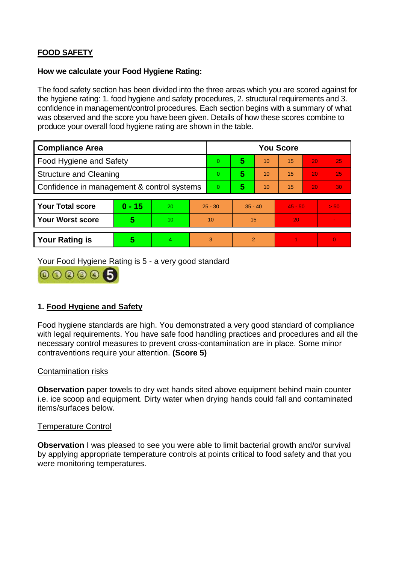# **FOOD SAFETY**

### **How we calculate your Food Hygiene Rating:**

The food safety section has been divided into the three areas which you are scored against for the hygiene rating: 1. food hygiene and safety procedures, 2. structural requirements and 3. confidence in management/control procedures. Each section begins with a summary of what was observed and the score you have been given. Details of how these scores combine to produce your overall food hygiene rating are shown in the table.

| <b>Compliance Area</b>                     |                         |                  |           | <b>You Score</b> |                |    |           |    |                |  |  |
|--------------------------------------------|-------------------------|------------------|-----------|------------------|----------------|----|-----------|----|----------------|--|--|
| Food Hygiene and Safety                    |                         |                  |           | 0                | 5              | 10 | 15        | 20 | 25             |  |  |
| <b>Structure and Cleaning</b>              |                         |                  |           | $\Omega$         | 5              | 10 | 15        | 20 | 25             |  |  |
| Confidence in management & control systems |                         |                  | $\Omega$  | 5                | 10             | 15 | 20        | 30 |                |  |  |
|                                            |                         |                  |           |                  |                |    |           |    |                |  |  |
| <b>Your Total score</b>                    | $0 - 15$                | 20               | $25 - 30$ |                  | $35 - 40$      |    | $45 - 50$ |    | > 50           |  |  |
| <b>Your Worst score</b>                    | $\overline{\mathbf{5}}$ | 10 <sup>10</sup> | 10        |                  | 15             |    | 20        |    | $\blacksquare$ |  |  |
|                                            |                         |                  |           |                  |                |    |           |    |                |  |  |
| <b>Your Rating is</b>                      | 5                       | 4                | 3         |                  | $\overline{2}$ |    |           |    | $\overline{0}$ |  |  |

Your Food Hygiene Rating is 5 - a very good standard



## **1. Food Hygiene and Safety**

Food hygiene standards are high. You demonstrated a very good standard of compliance with legal requirements. You have safe food handling practices and procedures and all the necessary control measures to prevent cross-contamination are in place. Some minor contraventions require your attention. **(Score 5)**

## Contamination risks

**Observation** paper towels to dry wet hands sited above equipment behind main counter i.e. ice scoop and equipment. Dirty water when drying hands could fall and contaminated items/surfaces below.

#### Temperature Control

**Observation** I was pleased to see you were able to limit bacterial growth and/or survival by applying appropriate temperature controls at points critical to food safety and that you were monitoring temperatures.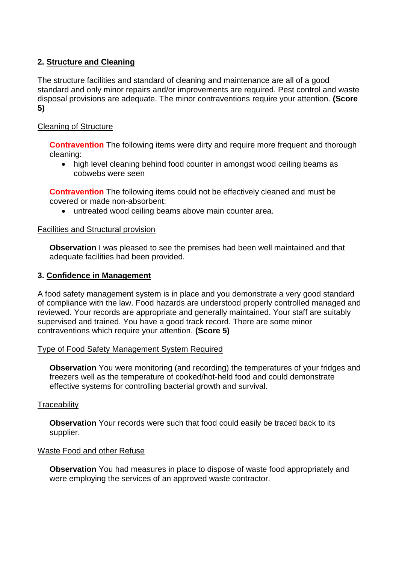## **2. Structure and Cleaning**

The structure facilities and standard of cleaning and maintenance are all of a good standard and only minor repairs and/or improvements are required. Pest control and waste disposal provisions are adequate. The minor contraventions require your attention. **(Score 5)**

## Cleaning of Structure

**Contravention** The following items were dirty and require more frequent and thorough cleaning:

• high level cleaning behind food counter in amongst wood ceiling beams as cobwebs were seen

**Contravention** The following items could not be effectively cleaned and must be covered or made non-absorbent:

untreated wood ceiling beams above main counter area.

## Facilities and Structural provision

**Observation** I was pleased to see the premises had been well maintained and that adequate facilities had been provided.

### **3. Confidence in Management**

A food safety management system is in place and you demonstrate a very good standard of compliance with the law. Food hazards are understood properly controlled managed and reviewed. Your records are appropriate and generally maintained. Your staff are suitably supervised and trained. You have a good track record. There are some minor contraventions which require your attention. **(Score 5)**

## Type of Food Safety Management System Required

**Observation** You were monitoring (and recording) the temperatures of your fridges and freezers well as the temperature of cooked/hot-held food and could demonstrate effective systems for controlling bacterial growth and survival.

#### **Traceability**

**Observation** Your records were such that food could easily be traced back to its supplier.

## Waste Food and other Refuse

**Observation** You had measures in place to dispose of waste food appropriately and were employing the services of an approved waste contractor.